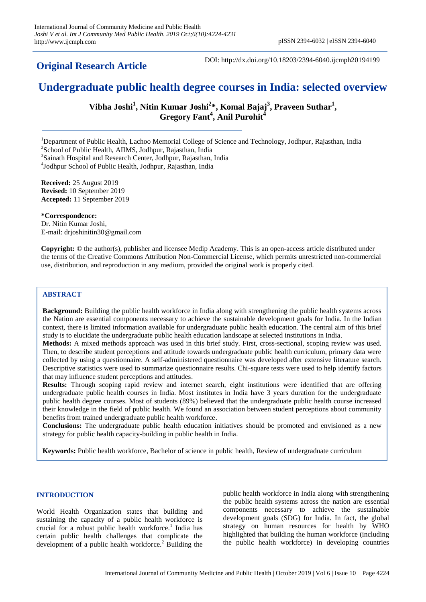# **Original Research Article**

DOI: http://dx.doi.org/10.18203/2394-6040.ijcmph20194199

# **Undergraduate public health degree courses in India: selected overview**

**Vibha Joshi<sup>1</sup> , Nitin Kumar Joshi<sup>2</sup> \*, Komal Bajaj<sup>3</sup> , Praveen Suthar<sup>1</sup> , Gregory Fant<sup>4</sup> , Anil Purohit<sup>4</sup>**

<sup>1</sup>Department of Public Health, Lachoo Memorial College of Science and Technology, Jodhpur, Rajasthan, India

<sup>2</sup>School of Public Health, AIIMS, Jodhpur, Rajasthan, India <sup>3</sup>Sainath Hospital and Research Center, Jodhpur, Rajasthan, India

4 Jodhpur School of Public Health, Jodhpur, Rajasthan, India

**Received:** 25 August 2019 **Revised:** 10 September 2019 **Accepted:** 11 September 2019

**\*Correspondence:** Dr. Nitin Kumar Joshi, E-mail: drjoshinitin30@gmail.com

**Copyright:** © the author(s), publisher and licensee Medip Academy. This is an open-access article distributed under the terms of the Creative Commons Attribution Non-Commercial License, which permits unrestricted non-commercial use, distribution, and reproduction in any medium, provided the original work is properly cited.

#### **ABSTRACT**

**Background:** Building the public health workforce in India along with strengthening the public health systems across the Nation are essential components necessary to achieve the sustainable development goals for India. In the Indian context, there is limited information available for undergraduate public health education. The central aim of this brief study is to elucidate the undergraduate public health education landscape at selected institutions in India.

**Methods:** A mixed methods approach was used in this brief study. First, cross-sectional, scoping review was used. Then, to describe student perceptions and attitude towards undergraduate public health curriculum, primary data were collected by using a questionnaire. A self-administered questionnaire was developed after extensive literature search. Descriptive statistics were used to summarize questionnaire results. Chi-square tests were used to help identify factors that may influence student perceptions and attitudes.

**Results:** Through scoping rapid review and internet search, eight institutions were identified that are offering undergraduate public health courses in India. Most institutes in India have 3 years duration for the undergraduate public health degree courses. Most of students (89%) believed that the undergraduate public health course increased their knowledge in the field of public health. We found an association between student perceptions about community benefits from trained undergraduate public health workforce.

**Conclusions:** The undergraduate public health education initiatives should be promoted and envisioned as a new strategy for public health capacity-building in public health in India.

**Keywords:** Public health workforce, Bachelor of science in public health, Review of undergraduate curriculum

#### **INTRODUCTION**

World Health Organization states that building and sustaining the capacity of a public health workforce is crucial for a robust public health workforce.<sup>1</sup> India has certain public health challenges that complicate the development of a public health workforce.<sup>2</sup> Building the public health workforce in India along with strengthening the public health systems across the nation are essential components necessary to achieve the sustainable development goals (SDG) for India. In fact, the global strategy on human resources for health by WHO highlighted that building the human workforce (including the public health workforce) in developing countries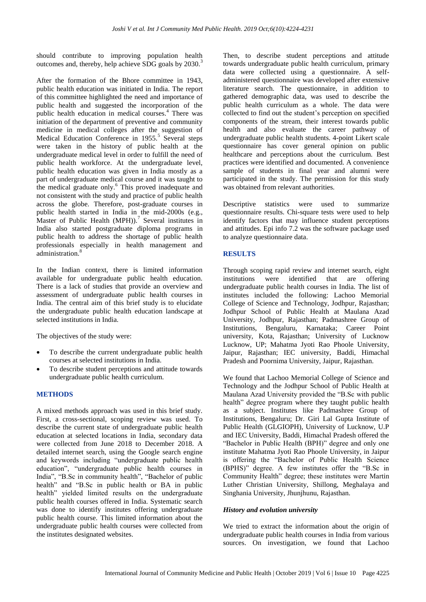should contribute to improving population health outcomes and, thereby, help achieve SDG goals by 2030.<sup>3</sup>

After the formation of the Bhore committee in 1943, public health education was initiated in India. The report of this committee highlighted the need and importance of public health and suggested the incorporation of the public health education in medical courses.<sup>4</sup> There was initiation of the department of preventive and community medicine in medical colleges after the suggestion of Medical Education Conference in 1955.<sup>5</sup> Several steps were taken in the history of public health at the undergraduate medical level in order to fulfill the need of public health workforce. At the undergraduate level, public health education was given in India mostly as a part of undergraduate medical course and it was taught to the medical graduate only.<sup>6</sup> This proved inadequate and not consistent with the study and practice of public health across the globe. Therefore, post-graduate courses in public health started in India in the mid-2000s (e.g., Master of Public Health (MPH)).<sup>7</sup> Several institutes in India also started postgraduate diploma programs in public health to address the shortage of public health professionals especially in health management and administration.<sup>8</sup>

In the Indian context, there is limited information available for undergraduate public health education. There is a lack of studies that provide an overview and assessment of undergraduate public health courses in India. The central aim of this brief study is to elucidate the undergraduate public health education landscape at selected institutions in India.

The objectives of the study were:

- To describe the current undergraduate public health courses at selected institutions in India.
- To describe student perceptions and attitude towards undergraduate public health curriculum.

#### **METHODS**

A mixed methods approach was used in this brief study. First, a cross-sectional, scoping review was used. To describe the current state of undergraduate public health education at selected locations in India, secondary data were collected from June 2018 to December 2018. A detailed internet search, using the Google search engine and keywords including "undergraduate public health education", "undergraduate public health courses in India", "B.Sc in community health", "Bachelor of public health" and "B.Sc in public health or BA in public health" yielded limited results on the undergraduate public health courses offered in India. Systematic search was done to identify institutes offering undergraduate public health course. This limited information about the undergraduate public health courses were collected from the institutes designated websites.

Then, to describe student perceptions and attitude towards undergraduate public health curriculum, primary data were collected using a questionnaire. A selfadministered questionnaire was developed after extensive literature search. The questionnaire, in addition to gathered demographic data, was used to describe the public health curriculum as a whole. The data were collected to find out the student's perception on specified components of the stream, their interest towards public health and also evaluate the career pathway of undergraduate public health students. 4-point Likert scale questionnaire has cover general opinion on public healthcare and perceptions about the curriculum. Best practices were identified and documented. A convenience sample of students in final year and alumni were participated in the study. The permission for this study was obtained from relevant authorities.

Descriptive statistics were used to summarize questionnaire results. Chi-square tests were used to help identify factors that may influence student perceptions and attitudes. Epi info 7.2 was the software package used to analyze questionnaire data.

#### **RESULTS**

Through scoping rapid review and internet search, eight institutions were identified that are offering undergraduate public health courses in India. The list of institutes included the following: Lachoo Memorial College of Science and Technology, Jodhpur, Rajasthan; Jodhpur School of Public Health at Maulana Azad University, Jodhpur, Rajasthan; Padmashree Group of Institutions, Bengaluru, Karnataka; Career Point university, Kota, Rajasthan; University of Lucknow Lucknow, UP; Mahatma Jyoti Rao Phoole University, Jaipur, Rajasthan; IEC university, Baddi, Himachal Pradesh and Poornima University, Jaipur, Rajasthan.

We found that Lachoo Memorial College of Science and Technology and the Jodhpur School of Public Health at Maulana Azad University provided the "B.Sc with public health" degree program where they taught public health as a subject. Institutes like Padmashree Group of Institutions, Bengaluru; Dr. Giri Lal Gupta Institute of Public Health (GLGIOPH), University of Lucknow, U.P and IEC University, Baddi, Himachal Pradesh offered the "Bachelor in Public Health (BPH)" degree and only one institute Mahatma Jyoti Rao Phoole University, in Jaipur is offering the "Bachelor of Public Health Science (BPHS)" degree. A few institutes offer the "B.Sc in Community Health" degree; these institutes were Martin Luther Christian University, Shillong, Meghalaya and Singhania University, Jhunjhunu, Rajasthan.

#### *History and evolution university*

We tried to extract the information about the origin of undergraduate public health courses in India from various sources. On investigation, we found that Lachoo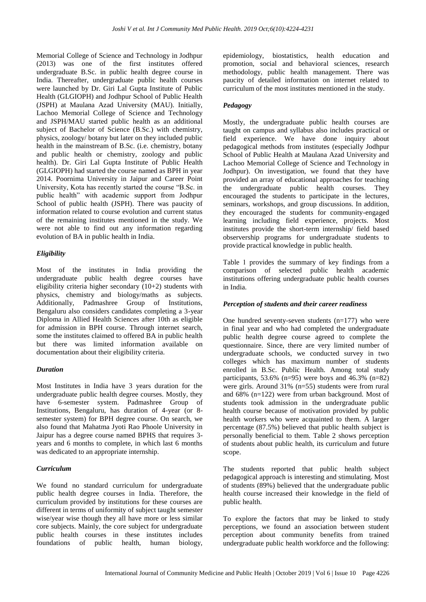Memorial College of Science and Technology in Jodhpur (2013) was one of the first institutes offered undergraduate B.Sc. in public health degree course in India. Thereafter, undergraduate public health courses were launched by Dr. Giri Lal Gupta Institute of Public Health (GLGIOPH) and Jodhpur School of Public Health (JSPH) at Maulana Azad University (MAU). Initially, Lachoo Memorial College of Science and Technology and JSPH/MAU started public health as an additional subject of Bachelor of Science (B.Sc.) with chemistry, physics, zoology/ botany but later on they included public health in the mainstream of B.Sc. (i.e. chemistry, botany and public health or chemistry, zoology and public health). Dr. Giri Lal Gupta Institute of Public Health (GLGIOPH) had started the course named as BPH in year 2014. Poornima University in Jaipur and Career Point University, Kota has recently started the course "B.Sc. in public health" with academic support from Jodhpur School of public health (JSPH). There was paucity of information related to course evolution and current status of the remaining institutes mentioned in the study. We were not able to find out any information regarding evolution of BA in public health in India.

#### *Eligibility*

Most of the institutes in India providing the undergraduate public health degree courses have eligibility criteria higher secondary (10+2) students with physics, chemistry and biology/maths as subjects. Additionally, Padmashree Group of Institutions, Bengaluru also considers candidates completing a 3-year Diploma in Allied Health Sciences after 10th as eligible for admission in BPH course. Through internet search, some the institutes claimed to offered BA in public health but there was limited information available on documentation about their eligibility criteria.

#### *Duration*

Most Institutes in India have 3 years duration for the undergraduate public health degree courses. Mostly, they have 6-semester system. Padmashree Group of Institutions, Bengaluru, has duration of 4-year (or 8 semester system) for BPH degree course. On search, we also found that Mahatma Jyoti Rao Phoole University in Jaipur has a degree course named BPHS that requires 3 years and 6 months to complete, in which last 6 months was dedicated to an appropriate internship.

#### *Curriculum*

We found no standard curriculum for undergraduate public health degree courses in India. Therefore, the curriculum provided by institutions for these courses are different in terms of uniformity of subject taught semester wise/year wise though they all have more or less similar core subjects. Mainly, the core subject for undergraduate public health courses in these institutes includes foundations of public health, human biology,

epidemiology, biostatistics, health education and promotion, social and behavioral sciences, research methodology, public health management. There was paucity of detailed information on internet related to curriculum of the most institutes mentioned in the study.

### *Pedagogy*

Mostly, the undergraduate public health courses are taught on campus and syllabus also includes practical or field experience. We have done inquiry about pedagogical methods from institutes (especially Jodhpur School of Public Health at Maulana Azad University and Lachoo Memorial College of Science and Technology in Jodhpur). On investigation, we found that they have provided an array of educational approaches for teaching the undergraduate public health courses. They encouraged the students to participate in the lectures, seminars, workshops, and group discussions. In addition, they encouraged the students for community-engaged learning including field experience, projects. Most institutes provide the short-term internship/ field based observership programs for undergraduate students to provide practical knowledge in public health.

Table 1 provides the summary of key findings from a comparison of selected public health academic institutions offering undergraduate public health courses in India.

#### *Perception of students and their career readiness*

One hundred seventy-seven students (n=177) who were in final year and who had completed the undergraduate public health degree course agreed to complete the questionnaire. Since, there are very limited number of undergraduate schools, we conducted survey in two colleges which has maximum number of students enrolled in B.Sc. Public Health. Among total study participants, 53.6% (n=95) were boys and 46.3% (n=82) were girls. Around 31% (n=55) students were from rural and 68% (n=122) were from urban background. Most of students took admission in the undergraduate public health course because of motivation provided by public health workers who were acquainted to them. A larger percentage (87.5%) believed that public health subject is personally beneficial to them. Table 2 shows perception of students about public health, its curriculum and future scope.

The students reported that public health subject pedagogical approach is interesting and stimulating. Most of students (89%) believed that the undergraduate public health course increased their knowledge in the field of public health.

To explore the factors that may be linked to study perceptions, we found an association between student perception about community benefits from trained undergraduate public health workforce and the following: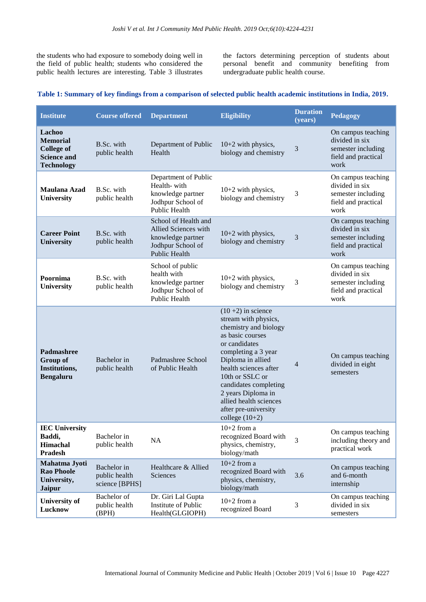the students who had exposure to somebody doing well in the field of public health; students who considered the public health lectures are interesting. Table 3 illustrates the factors determining perception of students about personal benefit and community benefiting from undergraduate public health course.

#### **Table 1: Summary of key findings from a comparison of selected public health academic institutions in India, 2019.**

| <b>Institute</b>                                                                          | <b>Course offered</b>                          | <b>Department</b>                                                                                              | <b>Eligibility</b>                                                                                                                                                                                                                                                                                                     | <b>Duration</b><br>(years) | Pedagogy                                                                                  |
|-------------------------------------------------------------------------------------------|------------------------------------------------|----------------------------------------------------------------------------------------------------------------|------------------------------------------------------------------------------------------------------------------------------------------------------------------------------------------------------------------------------------------------------------------------------------------------------------------------|----------------------------|-------------------------------------------------------------------------------------------|
| Lachoo<br><b>Memorial</b><br><b>College of</b><br><b>Science and</b><br><b>Technology</b> | B.Sc. with<br>public health                    | Department of Public<br>Health                                                                                 | $10+2$ with physics,<br>biology and chemistry                                                                                                                                                                                                                                                                          | 3                          | On campus teaching<br>divided in six<br>semester including<br>field and practical<br>work |
| Maulana Azad<br><b>University</b>                                                         | B.Sc. with<br>public health                    | Department of Public<br>Health-with<br>knowledge partner<br>Jodhpur School of<br>Public Health                 | $10+2$ with physics,<br>biology and chemistry                                                                                                                                                                                                                                                                          | 3                          | On campus teaching<br>divided in six<br>semester including<br>field and practical<br>work |
| <b>Career Point</b><br><b>University</b>                                                  | B.Sc. with<br>public health                    | School of Health and<br>Allied Sciences with<br>knowledge partner<br>Jodhpur School of<br><b>Public Health</b> | 10+2 with physics,<br>biology and chemistry                                                                                                                                                                                                                                                                            | 3                          | On campus teaching<br>divided in six<br>semester including<br>field and practical<br>work |
| Poornima<br><b>University</b>                                                             | B.Sc. with<br>public health                    | School of public<br>health with<br>knowledge partner<br>Jodhpur School of<br>Public Health                     | $10+2$ with physics,<br>biology and chemistry                                                                                                                                                                                                                                                                          | 3                          | On campus teaching<br>divided in six<br>semester including<br>field and practical<br>work |
| Padmashree<br>Group of<br>Institutions,<br><b>Bengaluru</b>                               | Bachelor in<br>public health                   | Padmashree School<br>of Public Health                                                                          | $(10+2)$ in science<br>stream with physics,<br>chemistry and biology<br>as basic courses<br>or candidates<br>completing a 3 year<br>Diploma in allied<br>health sciences after<br>10th or SSLC or<br>candidates completing<br>2 years Diploma in<br>allied health sciences<br>after pre-university<br>college $(10+2)$ | 4                          | On campus teaching<br>divided in eight<br>semesters                                       |
| <b>IEC University</b><br>Baddi,<br>Himachal<br><b>Pradesh</b>                             | Bachelor in<br>public health                   | NA                                                                                                             | $10+2$ from a<br>recognized Board with<br>physics, chemistry,<br>biology/math                                                                                                                                                                                                                                          | 3                          | On campus teaching<br>including theory and<br>practical work                              |
| Mahatma Jyoti<br><b>Rao Phoole</b><br>University,<br><b>Jaipur</b>                        | Bachelor in<br>public health<br>science [BPHS] | Healthcare & Allied<br>Sciences                                                                                | $10+2$ from a<br>recognized Board with<br>physics, chemistry,<br>biology/math                                                                                                                                                                                                                                          | 3.6                        | On campus teaching<br>and 6-month<br>internship                                           |
| <b>University of</b><br>Lucknow                                                           | Bachelor of<br>public health<br>(BPH)          | Dr. Giri Lal Gupta<br>Institute of Public<br>Health(GLGIOPH)                                                   | $10+2$ from a<br>recognized Board                                                                                                                                                                                                                                                                                      | 3                          | On campus teaching<br>divided in six<br>semesters                                         |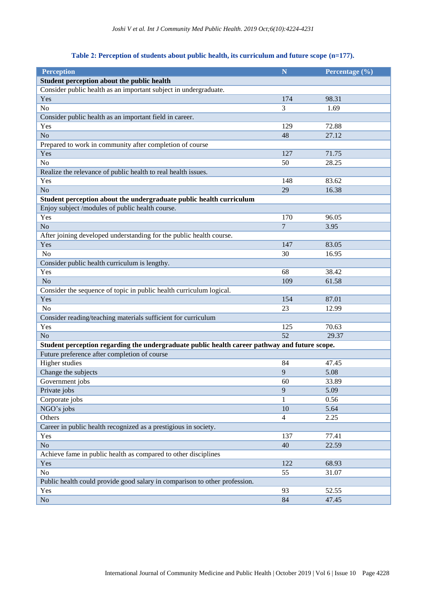# **Table 2: Perception of students about public health, its curriculum and future scope (n=177).**

| Student perception about the public health<br>Consider public health as an important subject in undergraduate.<br>174<br>98.31<br>Yes<br>No<br>3<br>1.69<br>Consider public health as an important field in career.<br>Yes<br>129<br>72.88<br>No<br>48<br>27.12<br>Prepared to work in community after completion of course<br>Yes<br>127<br>71.75<br>N <sub>o</sub><br>28.25<br>50<br>Realize the relevance of public health to real health issues.<br>Yes<br>148<br>83.62<br>No<br>29<br>16.38<br>Student perception about the undergraduate public health curriculum<br>Enjoy subject /modules of public health course.<br>170<br>Yes<br>96.05<br>$\overline{7}$<br>No<br>3.95<br>After joining developed understanding for the public health course.<br>83.05<br>Yes<br>147<br>No<br>30<br>16.95<br>Consider public health curriculum is lengthy.<br>Yes<br>68<br>38.42<br>No<br>109<br>61.58<br>Consider the sequence of topic in public health curriculum logical.<br>Yes<br>87.01<br>154<br>N <sub>o</sub><br>23<br>12.99<br>Consider reading/teaching materials sufficient for curriculum<br>Yes<br>125<br>70.63<br>N <sub>o</sub><br>52<br>29.37<br>Student perception regarding the undergraduate public health career pathway and future scope.<br>Future preference after completion of course<br><b>Higher</b> studies<br>84<br>47.45<br>Change the subjects<br>9<br>5.08<br>Government jobs<br>60<br>33.89<br>Private jobs<br>9<br>5.09<br>Corporate jobs<br>1<br>0.56<br>NGO's jobs<br>10<br>5.64<br>Others<br>2.25<br>4<br>Career in public health recognized as a prestigious in society.<br>77.41<br>Yes<br>137<br>N <sub>o</sub><br>22.59<br>40<br>Achieve fame in public health as compared to other disciplines<br>122<br>68.93<br>Yes<br>No<br>55<br>31.07<br>Public health could provide good salary in comparison to other profession.<br>Yes<br>52.55<br>93 | <b>Perception</b> | $\overline{\mathbf{N}}$ | Percentage (%) |  |  |  |  |  |
|--------------------------------------------------------------------------------------------------------------------------------------------------------------------------------------------------------------------------------------------------------------------------------------------------------------------------------------------------------------------------------------------------------------------------------------------------------------------------------------------------------------------------------------------------------------------------------------------------------------------------------------------------------------------------------------------------------------------------------------------------------------------------------------------------------------------------------------------------------------------------------------------------------------------------------------------------------------------------------------------------------------------------------------------------------------------------------------------------------------------------------------------------------------------------------------------------------------------------------------------------------------------------------------------------------------------------------------------------------------------------------------------------------------------------------------------------------------------------------------------------------------------------------------------------------------------------------------------------------------------------------------------------------------------------------------------------------------------------------------------------------------------------------------------------------------------------------------------------------------------------------------|-------------------|-------------------------|----------------|--|--|--|--|--|
|                                                                                                                                                                                                                                                                                                                                                                                                                                                                                                                                                                                                                                                                                                                                                                                                                                                                                                                                                                                                                                                                                                                                                                                                                                                                                                                                                                                                                                                                                                                                                                                                                                                                                                                                                                                                                                                                                      |                   |                         |                |  |  |  |  |  |
|                                                                                                                                                                                                                                                                                                                                                                                                                                                                                                                                                                                                                                                                                                                                                                                                                                                                                                                                                                                                                                                                                                                                                                                                                                                                                                                                                                                                                                                                                                                                                                                                                                                                                                                                                                                                                                                                                      |                   |                         |                |  |  |  |  |  |
|                                                                                                                                                                                                                                                                                                                                                                                                                                                                                                                                                                                                                                                                                                                                                                                                                                                                                                                                                                                                                                                                                                                                                                                                                                                                                                                                                                                                                                                                                                                                                                                                                                                                                                                                                                                                                                                                                      |                   |                         |                |  |  |  |  |  |
|                                                                                                                                                                                                                                                                                                                                                                                                                                                                                                                                                                                                                                                                                                                                                                                                                                                                                                                                                                                                                                                                                                                                                                                                                                                                                                                                                                                                                                                                                                                                                                                                                                                                                                                                                                                                                                                                                      |                   |                         |                |  |  |  |  |  |
|                                                                                                                                                                                                                                                                                                                                                                                                                                                                                                                                                                                                                                                                                                                                                                                                                                                                                                                                                                                                                                                                                                                                                                                                                                                                                                                                                                                                                                                                                                                                                                                                                                                                                                                                                                                                                                                                                      |                   |                         |                |  |  |  |  |  |
|                                                                                                                                                                                                                                                                                                                                                                                                                                                                                                                                                                                                                                                                                                                                                                                                                                                                                                                                                                                                                                                                                                                                                                                                                                                                                                                                                                                                                                                                                                                                                                                                                                                                                                                                                                                                                                                                                      |                   |                         |                |  |  |  |  |  |
|                                                                                                                                                                                                                                                                                                                                                                                                                                                                                                                                                                                                                                                                                                                                                                                                                                                                                                                                                                                                                                                                                                                                                                                                                                                                                                                                                                                                                                                                                                                                                                                                                                                                                                                                                                                                                                                                                      |                   |                         |                |  |  |  |  |  |
|                                                                                                                                                                                                                                                                                                                                                                                                                                                                                                                                                                                                                                                                                                                                                                                                                                                                                                                                                                                                                                                                                                                                                                                                                                                                                                                                                                                                                                                                                                                                                                                                                                                                                                                                                                                                                                                                                      |                   |                         |                |  |  |  |  |  |
|                                                                                                                                                                                                                                                                                                                                                                                                                                                                                                                                                                                                                                                                                                                                                                                                                                                                                                                                                                                                                                                                                                                                                                                                                                                                                                                                                                                                                                                                                                                                                                                                                                                                                                                                                                                                                                                                                      |                   |                         |                |  |  |  |  |  |
|                                                                                                                                                                                                                                                                                                                                                                                                                                                                                                                                                                                                                                                                                                                                                                                                                                                                                                                                                                                                                                                                                                                                                                                                                                                                                                                                                                                                                                                                                                                                                                                                                                                                                                                                                                                                                                                                                      |                   |                         |                |  |  |  |  |  |
|                                                                                                                                                                                                                                                                                                                                                                                                                                                                                                                                                                                                                                                                                                                                                                                                                                                                                                                                                                                                                                                                                                                                                                                                                                                                                                                                                                                                                                                                                                                                                                                                                                                                                                                                                                                                                                                                                      |                   |                         |                |  |  |  |  |  |
|                                                                                                                                                                                                                                                                                                                                                                                                                                                                                                                                                                                                                                                                                                                                                                                                                                                                                                                                                                                                                                                                                                                                                                                                                                                                                                                                                                                                                                                                                                                                                                                                                                                                                                                                                                                                                                                                                      |                   |                         |                |  |  |  |  |  |
|                                                                                                                                                                                                                                                                                                                                                                                                                                                                                                                                                                                                                                                                                                                                                                                                                                                                                                                                                                                                                                                                                                                                                                                                                                                                                                                                                                                                                                                                                                                                                                                                                                                                                                                                                                                                                                                                                      |                   |                         |                |  |  |  |  |  |
|                                                                                                                                                                                                                                                                                                                                                                                                                                                                                                                                                                                                                                                                                                                                                                                                                                                                                                                                                                                                                                                                                                                                                                                                                                                                                                                                                                                                                                                                                                                                                                                                                                                                                                                                                                                                                                                                                      |                   |                         |                |  |  |  |  |  |
|                                                                                                                                                                                                                                                                                                                                                                                                                                                                                                                                                                                                                                                                                                                                                                                                                                                                                                                                                                                                                                                                                                                                                                                                                                                                                                                                                                                                                                                                                                                                                                                                                                                                                                                                                                                                                                                                                      |                   |                         |                |  |  |  |  |  |
|                                                                                                                                                                                                                                                                                                                                                                                                                                                                                                                                                                                                                                                                                                                                                                                                                                                                                                                                                                                                                                                                                                                                                                                                                                                                                                                                                                                                                                                                                                                                                                                                                                                                                                                                                                                                                                                                                      |                   |                         |                |  |  |  |  |  |
|                                                                                                                                                                                                                                                                                                                                                                                                                                                                                                                                                                                                                                                                                                                                                                                                                                                                                                                                                                                                                                                                                                                                                                                                                                                                                                                                                                                                                                                                                                                                                                                                                                                                                                                                                                                                                                                                                      |                   |                         |                |  |  |  |  |  |
|                                                                                                                                                                                                                                                                                                                                                                                                                                                                                                                                                                                                                                                                                                                                                                                                                                                                                                                                                                                                                                                                                                                                                                                                                                                                                                                                                                                                                                                                                                                                                                                                                                                                                                                                                                                                                                                                                      |                   |                         |                |  |  |  |  |  |
|                                                                                                                                                                                                                                                                                                                                                                                                                                                                                                                                                                                                                                                                                                                                                                                                                                                                                                                                                                                                                                                                                                                                                                                                                                                                                                                                                                                                                                                                                                                                                                                                                                                                                                                                                                                                                                                                                      |                   |                         |                |  |  |  |  |  |
|                                                                                                                                                                                                                                                                                                                                                                                                                                                                                                                                                                                                                                                                                                                                                                                                                                                                                                                                                                                                                                                                                                                                                                                                                                                                                                                                                                                                                                                                                                                                                                                                                                                                                                                                                                                                                                                                                      |                   |                         |                |  |  |  |  |  |
|                                                                                                                                                                                                                                                                                                                                                                                                                                                                                                                                                                                                                                                                                                                                                                                                                                                                                                                                                                                                                                                                                                                                                                                                                                                                                                                                                                                                                                                                                                                                                                                                                                                                                                                                                                                                                                                                                      |                   |                         |                |  |  |  |  |  |
|                                                                                                                                                                                                                                                                                                                                                                                                                                                                                                                                                                                                                                                                                                                                                                                                                                                                                                                                                                                                                                                                                                                                                                                                                                                                                                                                                                                                                                                                                                                                                                                                                                                                                                                                                                                                                                                                                      |                   |                         |                |  |  |  |  |  |
|                                                                                                                                                                                                                                                                                                                                                                                                                                                                                                                                                                                                                                                                                                                                                                                                                                                                                                                                                                                                                                                                                                                                                                                                                                                                                                                                                                                                                                                                                                                                                                                                                                                                                                                                                                                                                                                                                      |                   |                         |                |  |  |  |  |  |
|                                                                                                                                                                                                                                                                                                                                                                                                                                                                                                                                                                                                                                                                                                                                                                                                                                                                                                                                                                                                                                                                                                                                                                                                                                                                                                                                                                                                                                                                                                                                                                                                                                                                                                                                                                                                                                                                                      |                   |                         |                |  |  |  |  |  |
|                                                                                                                                                                                                                                                                                                                                                                                                                                                                                                                                                                                                                                                                                                                                                                                                                                                                                                                                                                                                                                                                                                                                                                                                                                                                                                                                                                                                                                                                                                                                                                                                                                                                                                                                                                                                                                                                                      |                   |                         |                |  |  |  |  |  |
|                                                                                                                                                                                                                                                                                                                                                                                                                                                                                                                                                                                                                                                                                                                                                                                                                                                                                                                                                                                                                                                                                                                                                                                                                                                                                                                                                                                                                                                                                                                                                                                                                                                                                                                                                                                                                                                                                      |                   |                         |                |  |  |  |  |  |
|                                                                                                                                                                                                                                                                                                                                                                                                                                                                                                                                                                                                                                                                                                                                                                                                                                                                                                                                                                                                                                                                                                                                                                                                                                                                                                                                                                                                                                                                                                                                                                                                                                                                                                                                                                                                                                                                                      |                   |                         |                |  |  |  |  |  |
|                                                                                                                                                                                                                                                                                                                                                                                                                                                                                                                                                                                                                                                                                                                                                                                                                                                                                                                                                                                                                                                                                                                                                                                                                                                                                                                                                                                                                                                                                                                                                                                                                                                                                                                                                                                                                                                                                      |                   |                         |                |  |  |  |  |  |
|                                                                                                                                                                                                                                                                                                                                                                                                                                                                                                                                                                                                                                                                                                                                                                                                                                                                                                                                                                                                                                                                                                                                                                                                                                                                                                                                                                                                                                                                                                                                                                                                                                                                                                                                                                                                                                                                                      |                   |                         |                |  |  |  |  |  |
|                                                                                                                                                                                                                                                                                                                                                                                                                                                                                                                                                                                                                                                                                                                                                                                                                                                                                                                                                                                                                                                                                                                                                                                                                                                                                                                                                                                                                                                                                                                                                                                                                                                                                                                                                                                                                                                                                      |                   |                         |                |  |  |  |  |  |
|                                                                                                                                                                                                                                                                                                                                                                                                                                                                                                                                                                                                                                                                                                                                                                                                                                                                                                                                                                                                                                                                                                                                                                                                                                                                                                                                                                                                                                                                                                                                                                                                                                                                                                                                                                                                                                                                                      |                   |                         |                |  |  |  |  |  |
|                                                                                                                                                                                                                                                                                                                                                                                                                                                                                                                                                                                                                                                                                                                                                                                                                                                                                                                                                                                                                                                                                                                                                                                                                                                                                                                                                                                                                                                                                                                                                                                                                                                                                                                                                                                                                                                                                      |                   |                         |                |  |  |  |  |  |
|                                                                                                                                                                                                                                                                                                                                                                                                                                                                                                                                                                                                                                                                                                                                                                                                                                                                                                                                                                                                                                                                                                                                                                                                                                                                                                                                                                                                                                                                                                                                                                                                                                                                                                                                                                                                                                                                                      |                   |                         |                |  |  |  |  |  |
|                                                                                                                                                                                                                                                                                                                                                                                                                                                                                                                                                                                                                                                                                                                                                                                                                                                                                                                                                                                                                                                                                                                                                                                                                                                                                                                                                                                                                                                                                                                                                                                                                                                                                                                                                                                                                                                                                      |                   |                         |                |  |  |  |  |  |
|                                                                                                                                                                                                                                                                                                                                                                                                                                                                                                                                                                                                                                                                                                                                                                                                                                                                                                                                                                                                                                                                                                                                                                                                                                                                                                                                                                                                                                                                                                                                                                                                                                                                                                                                                                                                                                                                                      |                   |                         |                |  |  |  |  |  |
|                                                                                                                                                                                                                                                                                                                                                                                                                                                                                                                                                                                                                                                                                                                                                                                                                                                                                                                                                                                                                                                                                                                                                                                                                                                                                                                                                                                                                                                                                                                                                                                                                                                                                                                                                                                                                                                                                      |                   |                         |                |  |  |  |  |  |
|                                                                                                                                                                                                                                                                                                                                                                                                                                                                                                                                                                                                                                                                                                                                                                                                                                                                                                                                                                                                                                                                                                                                                                                                                                                                                                                                                                                                                                                                                                                                                                                                                                                                                                                                                                                                                                                                                      |                   |                         |                |  |  |  |  |  |
|                                                                                                                                                                                                                                                                                                                                                                                                                                                                                                                                                                                                                                                                                                                                                                                                                                                                                                                                                                                                                                                                                                                                                                                                                                                                                                                                                                                                                                                                                                                                                                                                                                                                                                                                                                                                                                                                                      |                   |                         |                |  |  |  |  |  |
|                                                                                                                                                                                                                                                                                                                                                                                                                                                                                                                                                                                                                                                                                                                                                                                                                                                                                                                                                                                                                                                                                                                                                                                                                                                                                                                                                                                                                                                                                                                                                                                                                                                                                                                                                                                                                                                                                      |                   |                         |                |  |  |  |  |  |
|                                                                                                                                                                                                                                                                                                                                                                                                                                                                                                                                                                                                                                                                                                                                                                                                                                                                                                                                                                                                                                                                                                                                                                                                                                                                                                                                                                                                                                                                                                                                                                                                                                                                                                                                                                                                                                                                                      |                   |                         |                |  |  |  |  |  |
|                                                                                                                                                                                                                                                                                                                                                                                                                                                                                                                                                                                                                                                                                                                                                                                                                                                                                                                                                                                                                                                                                                                                                                                                                                                                                                                                                                                                                                                                                                                                                                                                                                                                                                                                                                                                                                                                                      |                   |                         |                |  |  |  |  |  |
|                                                                                                                                                                                                                                                                                                                                                                                                                                                                                                                                                                                                                                                                                                                                                                                                                                                                                                                                                                                                                                                                                                                                                                                                                                                                                                                                                                                                                                                                                                                                                                                                                                                                                                                                                                                                                                                                                      |                   |                         |                |  |  |  |  |  |
|                                                                                                                                                                                                                                                                                                                                                                                                                                                                                                                                                                                                                                                                                                                                                                                                                                                                                                                                                                                                                                                                                                                                                                                                                                                                                                                                                                                                                                                                                                                                                                                                                                                                                                                                                                                                                                                                                      |                   |                         |                |  |  |  |  |  |
|                                                                                                                                                                                                                                                                                                                                                                                                                                                                                                                                                                                                                                                                                                                                                                                                                                                                                                                                                                                                                                                                                                                                                                                                                                                                                                                                                                                                                                                                                                                                                                                                                                                                                                                                                                                                                                                                                      |                   |                         |                |  |  |  |  |  |
|                                                                                                                                                                                                                                                                                                                                                                                                                                                                                                                                                                                                                                                                                                                                                                                                                                                                                                                                                                                                                                                                                                                                                                                                                                                                                                                                                                                                                                                                                                                                                                                                                                                                                                                                                                                                                                                                                      |                   |                         |                |  |  |  |  |  |
|                                                                                                                                                                                                                                                                                                                                                                                                                                                                                                                                                                                                                                                                                                                                                                                                                                                                                                                                                                                                                                                                                                                                                                                                                                                                                                                                                                                                                                                                                                                                                                                                                                                                                                                                                                                                                                                                                      |                   |                         |                |  |  |  |  |  |
|                                                                                                                                                                                                                                                                                                                                                                                                                                                                                                                                                                                                                                                                                                                                                                                                                                                                                                                                                                                                                                                                                                                                                                                                                                                                                                                                                                                                                                                                                                                                                                                                                                                                                                                                                                                                                                                                                      | No                | 84                      | 47.45          |  |  |  |  |  |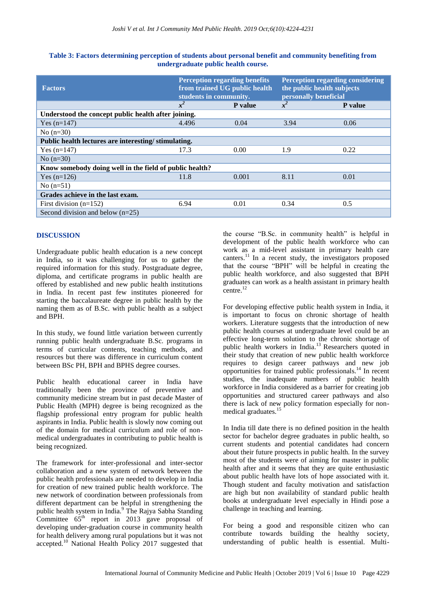| <b>Factors</b>                                          | <b>Perception regarding benefits</b><br>from trained UG public health<br>students in community. |         | <b>Perception regarding considering</b><br>the public health subjects<br>personally beneficial |         |  |  |  |
|---------------------------------------------------------|-------------------------------------------------------------------------------------------------|---------|------------------------------------------------------------------------------------------------|---------|--|--|--|
|                                                         | $x^2$                                                                                           | P value | $x^2$                                                                                          | P value |  |  |  |
| Understood the concept public health after joining.     |                                                                                                 |         |                                                                                                |         |  |  |  |
| Yes $(n=147)$                                           | 4.496                                                                                           | 0.04    | 3.94                                                                                           | 0.06    |  |  |  |
| No $(n=30)$                                             |                                                                                                 |         |                                                                                                |         |  |  |  |
| Public health lectures are interesting/stimulating.     |                                                                                                 |         |                                                                                                |         |  |  |  |
| Yes $(n=147)$                                           | 17.3                                                                                            | 0.00    | 1.9                                                                                            | 0.22    |  |  |  |
| No $(n=30)$                                             |                                                                                                 |         |                                                                                                |         |  |  |  |
| Know somebody doing well in the field of public health? |                                                                                                 |         |                                                                                                |         |  |  |  |
| Yes $(n=126)$                                           | 11.8                                                                                            | 0.001   | 8.11                                                                                           | 0.01    |  |  |  |
| No $(n=51)$                                             |                                                                                                 |         |                                                                                                |         |  |  |  |
| Grades achieve in the last exam.                        |                                                                                                 |         |                                                                                                |         |  |  |  |
| First division $(n=152)$                                | 6.94                                                                                            | 0.01    | 0.34                                                                                           | 0.5     |  |  |  |
| Second division and below $(n=25)$                      |                                                                                                 |         |                                                                                                |         |  |  |  |

#### **Table 3: Factors determining perception of students about personal benefit and community benefiting from undergraduate public health course.**

## **DISCUSSION**

Undergraduate public health education is a new concept in India, so it was challenging for us to gather the required information for this study. Postgraduate degree, diploma, and certificate programs in public health are offered by established and new public health institutions in India. In recent past few institutes pioneered for starting the baccalaureate degree in public health by the naming them as of B.Sc. with public health as a subject and BPH.

In this study, we found little variation between currently running public health undergraduate B.Sc. programs in terms of curricular contents, teaching methods, and resources but there was difference in curriculum content between BSc PH, BPH and BPHS degree courses.

Public health educational career in India have traditionally been the province of preventive and community medicine stream but in past decade Master of Public Health (MPH) degree is being recognized as the flagship professional entry program for public health aspirants in India. Public health is slowly now coming out of the domain for medical curriculum and role of nonmedical undergraduates in contributing to public health is being recognized.

The framework for inter-professional and inter-sector collaboration and a new system of network between the public health professionals are needed to develop in India for creation of new trained public health workforce. The new network of coordination between professionals from different department can be helpful in strengthening the public health system in India.<sup>9</sup> The Rajya Sabha Standing Committee  $65<sup>th</sup>$  report in 2013 gave proposal of developing under-graduation course in community health for health delivery among rural populations but it was not accepted.<sup>10</sup> National Health Policy 2017 suggested that the course "B.Sc. in community health" is helpful in development of the public health workforce who can work as a mid-level assistant in primary health care canters.<sup>11</sup> In a recent study, the investigators proposed that the course "BPH" will be helpful in creating the public health workforce, and also suggested that BPH graduates can work as a health assistant in primary health centre.<sup>12</sup>

For developing effective public health system in India, it is important to focus on chronic shortage of health workers. Literature suggests that the introduction of new public health courses at undergraduate level could be an effective long-term solution to the chronic shortage of public health workers in India.<sup>13</sup> Researchers quoted in their study that creation of new public health workforce requires to design career pathways and new job opportunities for trained public professionals.<sup>14</sup> In recent studies, the inadequate numbers of public health workforce in India considered as a barrier for creating job opportunities and structured career pathways and also there is lack of new policy formation especially for nonmedical graduates.<sup>15</sup>

In India till date there is no defined position in the health sector for bachelor degree graduates in public health, so current students and potential candidates had concern about their future prospects in public health. In the survey most of the students were of aiming for master in public health after and it seems that they are quite enthusiastic about public health have lots of hope associated with it. Though student and faculty motivation and satisfaction are high but non availability of standard public health books at undergraduate level especially in Hindi pose a challenge in teaching and learning.

For being a good and responsible citizen who can contribute towards building the healthy society, understanding of public health is essential. Multi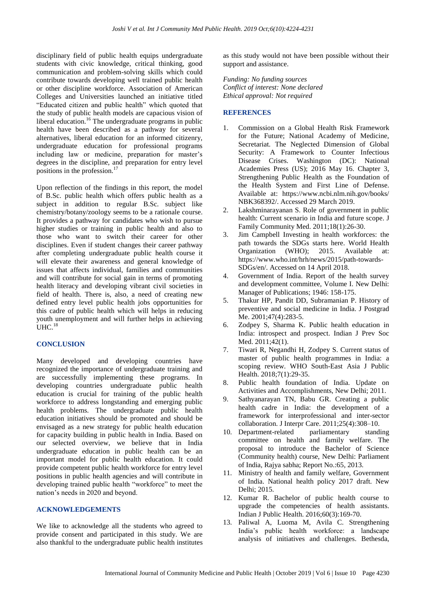disciplinary field of public health equips undergraduate students with civic knowledge, critical thinking, good communication and problem-solving skills which could contribute towards developing well trained public health or other discipline workforce. Association of American Colleges and Universities launched an initiative titled "Educated citizen and public health" which quoted that the study of public health models are capacious vision of liberal education.<sup>16</sup> The undergraduate programs in public health have been described as a pathway for several alternatives, liberal education for an informed citizenry, undergraduate education for professional programs including law or medicine, preparation for master's degrees in the discipline, and preparation for entry level positions in the profession.<sup>17</sup>

Upon reflection of the findings in this report, the model of B.Sc. public health which offers public health as a subject in addition to regular B.Sc. subject like chemistry/botany/zoology seems to be a rationale course. It provides a pathway for candidates who wish to pursue higher studies or training in public health and also to those who want to switch their career for other disciplines. Even if student changes their career pathway after completing undergraduate public health course it will elevate their awareness and general knowledge of issues that affects individual, families and communities and will contribute for social gain in terms of promoting health literacy and developing vibrant civil societies in field of health. There is, also, a need of creating new defined entry level public health jobs opportunities for this cadre of public health which will helps in reducing youth unemployment and will further helps in achieving  $UHC.<sup>18</sup>$ 

#### **CONCLUSION**

Many developed and developing countries have recognized the importance of undergraduate training and are successfully implementing these programs. In developing countries undergraduate public health education is crucial for training of the public health workforce to address longstanding and emerging public health problems. The undergraduate public health education initiatives should be promoted and should be envisaged as a new strategy for public health education for capacity building in public health in India. Based on our selected overview, we believe that in India undergraduate education in public health can be an important model for public health education. It could provide competent public health workforce for entry level positions in public health agencies and will contribute in developing trained public health "workforce" to meet the nation's needs in 2020 and beyond.

#### **ACKNOWLEDGEMENTS**

We like to acknowledge all the students who agreed to provide consent and participated in this study. We are also thankful to the undergraduate public health institutes as this study would not have been possible without their support and assistance.

*Funding: No funding sources Conflict of interest: None declared Ethical approval: Not required*

#### **REFERENCES**

- 1. Commission on a Global Health Risk Framework for the Future; National Academy of Medicine, Secretariat. The Neglected Dimension of Global Security: A Framework to Counter Infectious Disease Crises. Washington (DC): National Academies Press (US); 2016 May 16. Chapter 3, Strengthening Public Health as the Foundation of the Health System and First Line of Defense. Available at: https://www.ncbi.nlm.nih.gov/books/ NBK368392/. Accessed 29 March 2019.
- 2. Lakshminarayanan S. Role of government in public health: Current scenario in India and future scope. J Family Community Med. 2011;18(1):26-30.
- 3. Jim Campbell Investing in health workforces: the path towards the SDGs starts here. World Health Organization (WHO); 2015. Available at: https://www.who.int/hrh/news/2015/path-towards-SDGs/en/. Accessed on 14 April 2018.
- 4. Government of India. Report of the health survey and development committee, Volume I. New Delhi: Manager of Publications; 1946: 158-175.
- 5. Thakur HP, Pandit DD, Subramanian P. History of preventive and social medicine in India. J Postgrad Me. 2001;47(4):283-5.
- 6. Zodpey S, Sharma K. Public health education in India: introspect and prospect. Indian J Prev Soc Med. 2011;42(1).
- 7. Tiwari R, Negandhi H, Zodpey S. Current status of master of public health programmes in India: a scoping review. WHO South-East Asia J Public Health. 2018;7(1):29-35.
- 8. Public health foundation of India. Update on Activities and Accomplishments, New Delhi; 2011.
- 9. Sathyanarayan TN, Babu GR. Creating a public health cadre in India: the development of a framework for interprofessional and inter-sector collaboration. J Interpr Care. 2011;25(4):308–10.
- 10. Department-related parliamentary standing committee on health and family welfare. The proposal to introduce the Bachelor of Science (Community health) course, New Delhi: Parliament of India, Rajya sabha; Report No.:65, 2013.
- 11. Ministry of health and family welfare, Government of India. National health policy 2017 draft. New Delhi; 2015.
- 12. Kumar R. Bachelor of public health course to upgrade the competencies of health assistants. Indian J Public Health. 2016;60(3):169-70.
- 13. Paliwal A, Luoma M, Avila C. Strengthening India's public health workforce: a landscape analysis of initiatives and challenges. Bethesda,